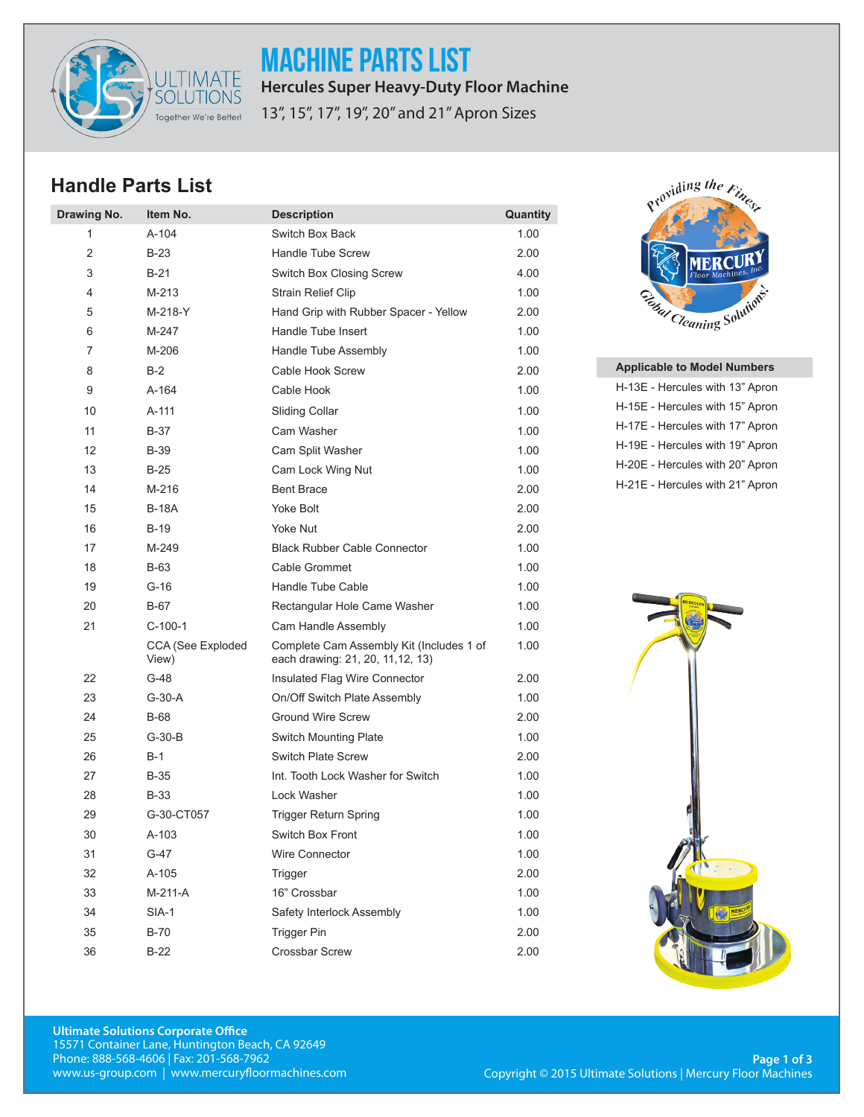

MACHINE PARTS LIST **Hercules Super Heavy-Duty Floor Machine**

13", 15", 17", 19", 20" and 21" Apron Sizes

## **Handle Parts List**

| Drawing No. | Item No.                   | <b>Description</b>                                                            | Quantity |
|-------------|----------------------------|-------------------------------------------------------------------------------|----------|
| 1           | $A-104$                    | Switch Box Back                                                               | 1.00     |
| 2           | $B-23$                     | Handle Tube Screw                                                             | 2.00     |
| 3           | $B-21$                     | Switch Box Closing Screw                                                      | 4.00     |
| 4           | $M-213$                    | <b>Strain Relief Clip</b>                                                     | 1.00     |
| 5           | M-218-Y                    | Hand Grip with Rubber Spacer - Yellow                                         | 2.00     |
| 6           | M-247                      | Handle Tube Insert                                                            | 1.00     |
| 7           | M-206                      | Handle Tube Assembly                                                          | 1.00     |
| 8           | $B-2$                      | Cable Hook Screw                                                              | 2.00     |
| 9           | $A-164$                    | Cable Hook                                                                    | 1.00     |
| 10          | $A-111$                    | <b>Sliding Collar</b>                                                         | 1.00     |
| 11          | $B-37$                     | Cam Washer                                                                    | 1.00     |
| 12          | <b>B-39</b>                | Cam Split Washer                                                              | 1.00     |
| 13          | $B-25$                     | Cam Lock Wing Nut                                                             | 1.00     |
| 14          | M-216                      | <b>Bent Brace</b>                                                             | 2.00     |
| 15          | <b>B-18A</b>               | Yoke Bolt                                                                     | 2.00     |
| 16          | $B-19$                     | Yoke Nut                                                                      | 2.00     |
| 17          | M-249                      | <b>Black Rubber Cable Connector</b>                                           | 1.00     |
| 18          | <b>B-63</b>                | Cable Grommet                                                                 | 1.00     |
| 19          | $G-16$                     | Handle Tube Cable                                                             | 1.00     |
| 20          | $B-67$                     | Rectangular Hole Came Washer                                                  | 1.00     |
| 21          | $C-100-1$                  | Cam Handle Assembly                                                           | 1.00     |
|             | CCA (See Exploded<br>View) | Complete Cam Assembly Kit (Includes 1 of<br>each drawing: 21, 20, 11, 12, 13) | 1.00     |
| 22          | $G-48$                     | Insulated Flag Wire Connector                                                 | 2.00     |
| 23          | $G-30-A$                   | On/Off Switch Plate Assembly                                                  | 1.00     |
| 24          | <b>B-68</b>                | <b>Ground Wire Screw</b>                                                      | 2.00     |
| 25          | $G-30-B$                   | <b>Switch Mounting Plate</b>                                                  | 1.00     |
| 26          | $B-1$                      | <b>Switch Plate Screw</b>                                                     | 2.00     |
| 27          | <b>B-35</b>                | Int. Tooth Lock Washer for Switch                                             | 1.00     |
| 28          | <b>B-33</b>                | Lock Washer                                                                   | 1.00     |
| 29          | G-30-CT057                 | <b>Trigger Return Spring</b>                                                  | 1.00     |
| 30          | A-103                      | Switch Box Front                                                              | 1.00     |
| 31          | $G-47$                     | Wire Connector                                                                | 1.00     |
| 32          | A-105                      | Trigger                                                                       | 2.00     |
| 33          | M-211-A                    | 16" Crossbar                                                                  | 1.00     |
| 34          | $SIA-1$                    | Safety Interlock Assembly                                                     | 1.00     |
| 35          | $B-70$                     | <b>Trigger Pin</b>                                                            | 2.00     |
| 36          | $B-22$                     | Crossbar Screw                                                                | 2.00     |



## **Applicable to Model Numbers**

| H-13E - Hercules with 13" Apron |
|---------------------------------|
| H-15E - Hercules with 15" Apron |
| H-17E - Hercules with 17" Apron |
| H-19E - Hercules with 19" Apron |
| H-20E - Hercules with 20" Apron |
| H-21E - Hercules with 21" Apron |
|                                 |

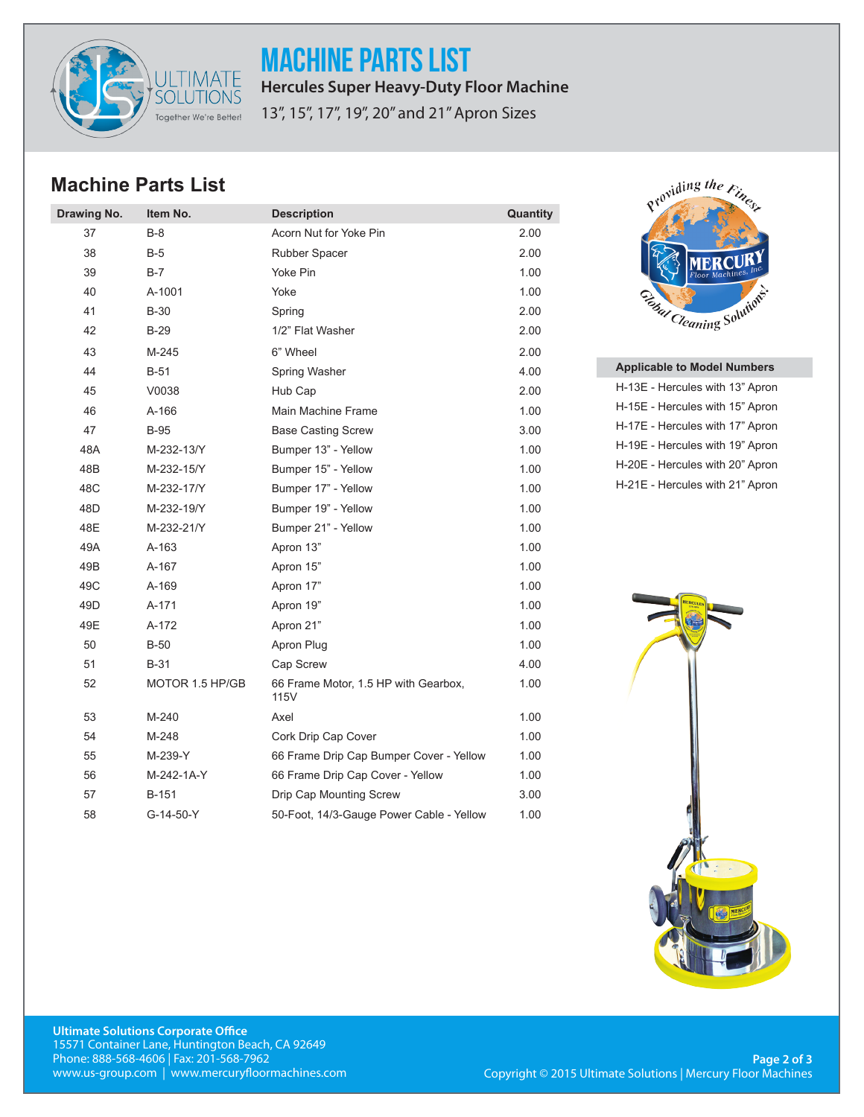

MACHINE PARTS LIST **Hercules Super Heavy-Duty Floor Machine**

13", 15", 17", 19", 20" and 21" Apron Sizes

## **Machine Parts List**

| Drawing No.     | Item No.        | <b>Description</b>                           | Quantity |
|-----------------|-----------------|----------------------------------------------|----------|
| 37              | $B-8$           | Acorn Nut for Yoke Pin                       | 2.00     |
| 38              | B-5             | Rubber Spacer                                | 2.00     |
| 39              | $B-7$           | Yoke Pin                                     | 1.00     |
| 40              | A-1001          | Yoke                                         | 1.00     |
| 41              | <b>B-30</b>     | Spring                                       | 2.00     |
| 42              | $B-29$          | 1/2" Flat Washer                             | 2.00     |
| 43              | M-245           | 6" Wheel                                     | 2.00     |
| 44              | $B-51$          | Spring Washer                                | 4.00     |
| 45              | V0038           | Hub Cap                                      | 2.00     |
| 46              | $A-166$         | Main Machine Frame                           | 1.00     |
| 47              | $B-95$          | <b>Base Casting Screw</b>                    | 3.00     |
| 48A             | M-232-13/Y      | Bumper 13" - Yellow                          | 1.00     |
| 48B             | M-232-15/Y      | Bumper 15" - Yellow                          | 1.00     |
| 48C             | M-232-17/Y      | Bumper 17" - Yellow                          | 1.00     |
| 48D             | M-232-19/Y      | Bumper 19" - Yellow                          | 1.00     |
| 48E             | M-232-21/Y      | Bumper 21" - Yellow                          | 1.00     |
| 49A             | A-163           | Apron 13"                                    | 1.00     |
| 49B             | A-167           | Apron 15"                                    | 1.00     |
| 49C             | A-169           | Apron 17"                                    | 1.00     |
| 49 <sub>D</sub> | $A-171$         | Apron 19"                                    | 1.00     |
| 49E             | A-172           | Apron 21"                                    | 1.00     |
| 50              | $B-50$          | Apron Plug                                   | 1.00     |
| 51              | <b>B-31</b>     | Cap Screw                                    | 4.00     |
| 52              | MOTOR 1.5 HP/GB | 66 Frame Motor, 1.5 HP with Gearbox,<br>115V | 1.00     |
| 53              | M-240           | Axel                                         | 1.00     |
| 54              | M-248           | Cork Drip Cap Cover                          | 1.00     |
| 55              | M-239-Y         | 66 Frame Drip Cap Bumper Cover - Yellow      | 1.00     |
| 56              | M-242-1A-Y      | 66 Frame Drip Cap Cover - Yellow             | 1.00     |
| 57              | B-151           | Drip Cap Mounting Screw                      | 3.00     |
| 58              | G-14-50-Y       | 50-Foot, 14/3-Gauge Power Cable - Yellow     | 1.00     |



## **Applicable to Model Numbers**

H-13E - Hercules with 13" Apron H-15E - Hercules with 15" Apron H-17E - Hercules with 17" Apron H-19E - Hercules with 19" Apron H-20E - Hercules with 20" Apron H-21E - Hercules with 21" Apron



**Ultimate Solutions Corporate Office** 15571 Container Lane, Huntington Beach, CA 92649 Phone: 888-568-4606 | Fax: 201-568-7962 www.us-group.com | www.mercuryfloormachines.com